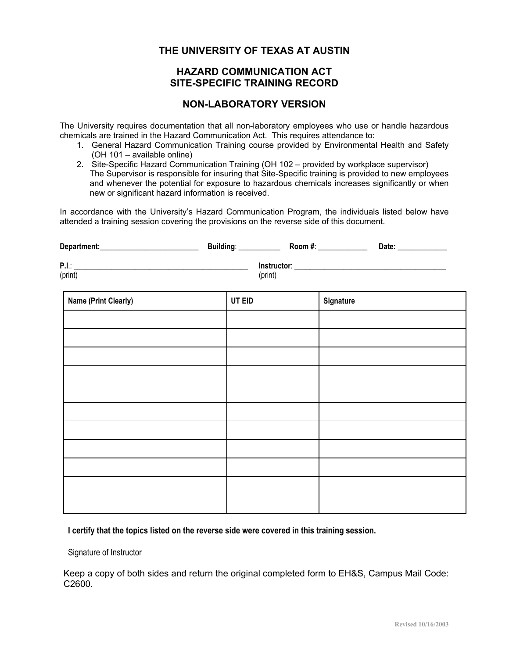## **THE UNIVERSITY OF TEXAS AT AUSTIN**

## **HAZARD COMMUNICATION ACT SITE-SPECIFIC TRAINING RECORD**

## **NON-LABORATORY VERSION**

The University requires documentation that all non-laboratory employees who use or handle hazardous chemicals are trained in the Hazard Communication Act. This requires attendance to:

- 1. General Hazard Communication Training course provided by Environmental Health and Safety (OH 101 – available online)
- 2. Site-Specific Hazard Communication Training (OH 102 provided by workplace supervisor) The Supervisor is responsible for insuring that Site-Specific training is provided to new employees and whenever the potential for exposure to hazardous chemicals increases significantly or when new or significant hazard information is received.

In accordance with the University's Hazard Communication Program, the individuals listed below have attended a training session covering the provisions on the reverse side of this document.

| Department: | <b>Building:</b> | Room #:     | Date: |
|-------------|------------------|-------------|-------|
| P.I.        |                  | Instructor: |       |
| (print)     | (print)          |             |       |

| <b>Name (Print Clearly)</b> | UT EID | Signature |
|-----------------------------|--------|-----------|
|                             |        |           |
|                             |        |           |
|                             |        |           |
|                             |        |           |
|                             |        |           |
|                             |        |           |
|                             |        |           |
|                             |        |           |
|                             |        |           |
|                             |        |           |
|                             |        |           |

**I certify that the topics listed on the reverse side were covered in this training session.** 

Signature of Instructor

Keep a copy of both sides and return the original completed form to EH&S, Campus Mail Code: C2600.